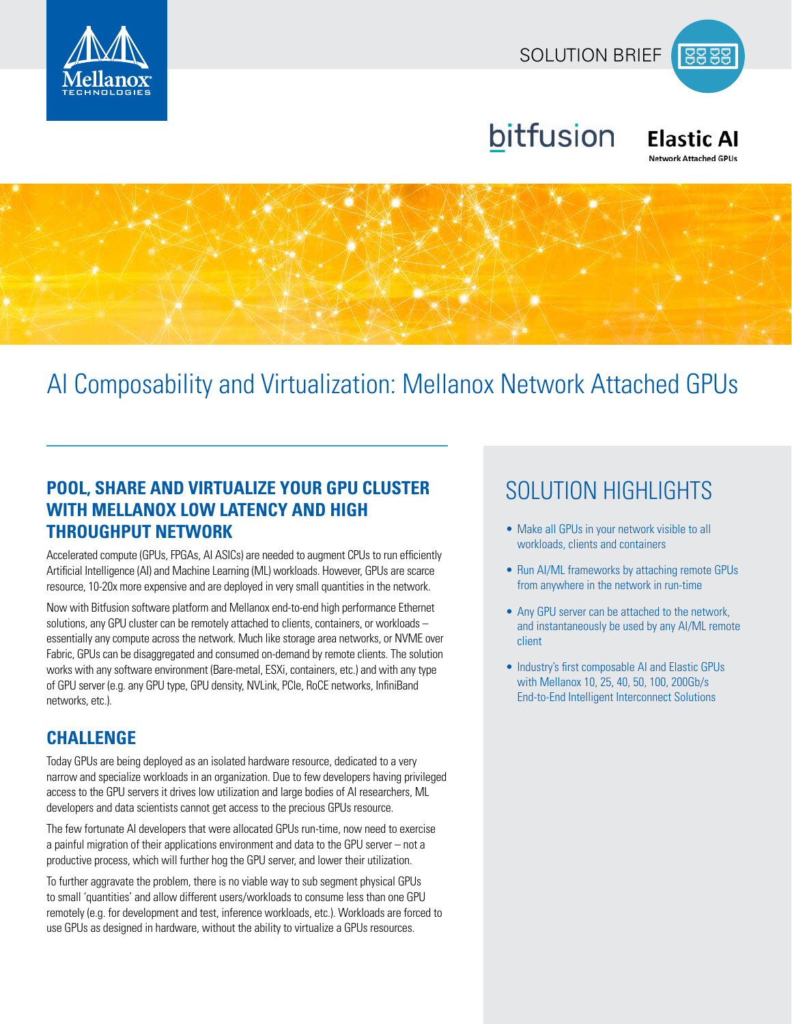





#### **Elastic AI Network Attached GPUs**



# AI Composability and Virtualization: Mellanox Network Attached GPUs

## **POOL, SHARE AND VIRTUALIZE YOUR GPU CLUSTER SOLUTION HIGHLIGHTS WITH MELLANOX LOW LATENCY AND HIGH THROUGHPUT NETWORK**

Accelerated compute (GPUs, FPGAs, AI ASICs) are needed to augment CPUs to run efficiently Artificial Intelligence (AI) and Machine Learning (ML) workloads. However, GPUs are scarce resource, 10-20x more expensive and are deployed in very small quantities in the network.

Now with Bitfusion software platform and Mellanox end-to-end high performance Ethernet solutions, any GPU cluster can be remotely attached to clients, containers, or workloads – essentially any compute across the network. Much like storage area networks, or NVME over Fabric, GPUs can be disaggregated and consumed on-demand by remote clients. The solution works with any software environment (Bare-metal, ESXi, containers, etc.) and with any type of GPU server (e.g. any GPU type, GPU density, NVLink, PCIe, RoCE networks, InfiniBand networks, etc.).

### **CHALLENGE**

Today GPUs are being deployed as an isolated hardware resource, dedicated to a very narrow and specialize workloads in an organization. Due to few developers having privileged access to the GPU servers it drives low utilization and large bodies of AI researchers, ML developers and data scientists cannot get access to the precious GPUs resource.

The few fortunate AI developers that were allocated GPUs run-time, now need to exercise a painful migration of their applications environment and data to the GPU server – not a productive process, which will further hog the GPU server, and lower their utilization.

To further aggravate the problem, there is no viable way to sub segment physical GPUs to small 'quantities' and allow different users/workloads to consume less than one GPU remotely (e.g. for development and test, inference workloads, etc.). Workloads are forced to use GPUs as designed in hardware, without the ability to virtualize a GPUs resources.

- Make all GPUs in your network visible to all workloads, clients and containers
- Run AI/ML frameworks by attaching remote GPUs from anywhere in the network in run-time
- Any GPU server can be attached to the network, and instantaneously be used by any AI/ML remote client
- Industry's first composable AI and Elastic GPUs with Mellanox 10, 25, 40, 50, 100, 200Gb/s End-to-End Intelligent Interconnect Solutions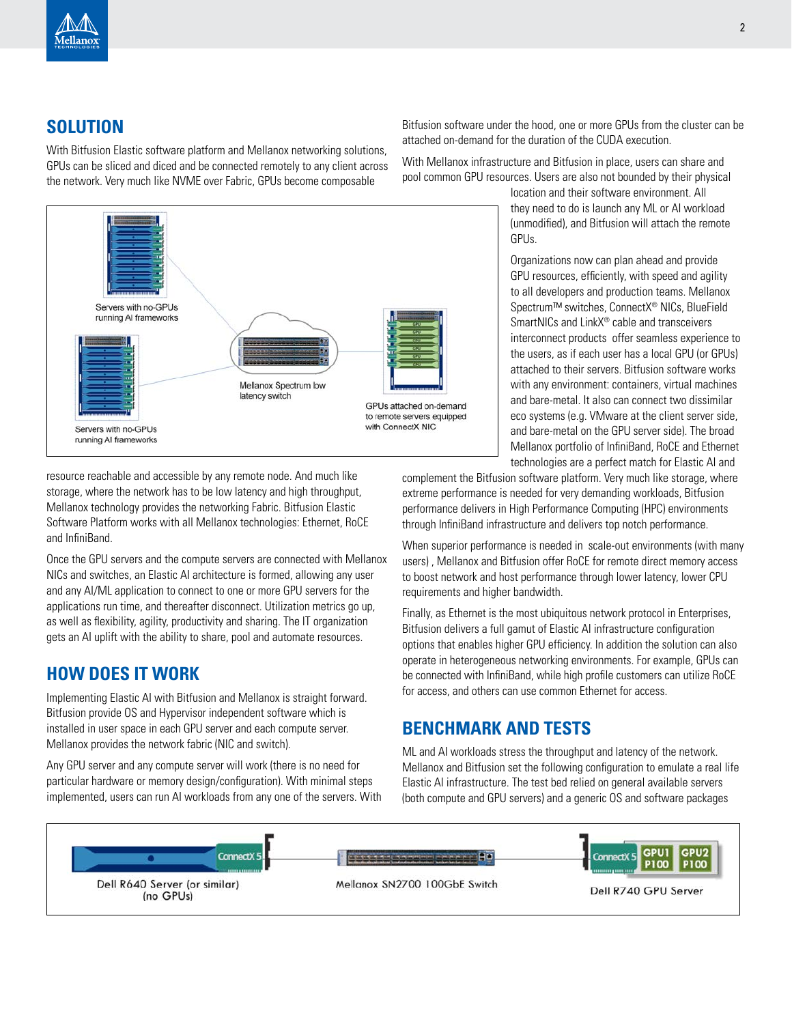

### **SOLUTION**

With Bitfusion Elastic software platform and Mellanox networking solutions, GPUs can be sliced and diced and be connected remotely to any client across the network. Very much like NVME over Fabric, GPUs become composable



Bitfusion software under the hood, one or more GPUs from the cluster can be attached on-demand for the duration of the CUDA execution.

With Mellanox infrastructure and Bitfusion in place, users can share and pool common GPU resources. Users are also not bounded by their physical

location and their software environment. All they need to do is launch any ML or AI workload (unmodified), and Bitfusion will attach the remote GPUs.

Organizations now can plan ahead and provide GPU resources, efficiently, with speed and agility to all developers and production teams. Mellanox Spectrum™ switches, ConnectX® NICs, BlueField SmartNICs and LinkX® cable and transceivers interconnect products offer seamless experience to the users, as if each user has a local GPU (or GPUs) attached to their servers. Bitfusion software works with any environment: containers, virtual machines and bare-metal. It also can connect two dissimilar eco systems (e.g. VMware at the client server side, and bare-metal on the GPU server side). The broad Mellanox portfolio of InfiniBand, RoCE and Ethernet technologies are a perfect match for Elastic AI and

resource reachable and accessible by any remote node. And much like storage, where the network has to be low latency and high throughput, Mellanox technology provides the networking Fabric. Bitfusion Elastic Software Platform works with all Mellanox technologies: Ethernet, RoCE and InfiniBand.

Once the GPU servers and the compute servers are connected with Mellanox NICs and switches, an Elastic AI architecture is formed, allowing any user and any AI/ML application to connect to one or more GPU servers for the applications run time, and thereafter disconnect. Utilization metrics go up, as well as flexibility, agility, productivity and sharing. The IT organization gets an AI uplift with the ability to share, pool and automate resources.

#### **HOW DOES IT WORK**

Implementing Elastic AI with Bitfusion and Mellanox is straight forward. Bitfusion provide OS and Hypervisor independent software which is installed in user space in each GPU server and each compute server. Mellanox provides the network fabric (NIC and switch).

Any GPU server and any compute server will work (there is no need for particular hardware or memory design/configuration). With minimal steps implemented, users can run AI workloads from any one of the servers. With complement the Bitfusion software platform. Very much like storage, where extreme performance is needed for very demanding workloads, Bitfusion performance delivers in High Performance Computing (HPC) environments through InfiniBand infrastructure and delivers top notch performance.

When superior performance is needed in scale-out environments (with many users) , Mellanox and Bitfusion offer RoCE for remote direct memory access to boost network and host performance through lower latency, lower CPU requirements and higher bandwidth.

Finally, as Ethernet is the most ubiquitous network protocol in Enterprises, Bitfusion delivers a full gamut of Elastic AI infrastructure configuration options that enables higher GPU efficiency. In addition the solution can also operate in heterogeneous networking environments. For example, GPUs can be connected with InfiniBand, while high profile customers can utilize RoCE for access, and others can use common Ethernet for access.

#### **BENCHMARK AND TESTS**

ML and AI workloads stress the throughput and latency of the network. Mellanox and Bitfusion set the following configuration to emulate a real life Elastic AI infrastructure. The test bed relied on general available servers (both compute and GPU servers) and a generic OS and software packages